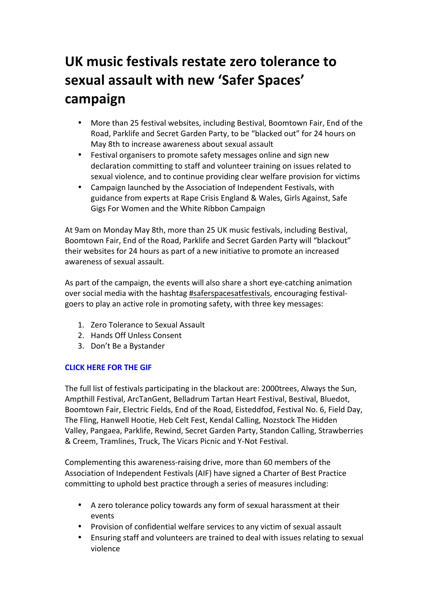# UK music festivals restate zero tolerance to sexual assault with new 'Safer Spaces' **campaign**

- More than 25 festival websites, including Bestival, Boomtown Fair, End of the Road, Parklife and Secret Garden Party, to be "blacked out" for 24 hours on May 8th to increase awareness about sexual assault
- Festival organisers to promote safety messages online and sign new declaration committing to staff and volunteer training on issues related to sexual violence, and to continue providing clear welfare provision for victims
- Campaign launched by the Association of Independent Festivals, with guidance from experts at Rape Crisis England & Wales, Girls Against, Safe Gigs For Women and the White Ribbon Campaign

At 9am on Monday May 8th, more than 25 UK music festivals, including Bestival, Boomtown Fair, End of the Road, Parklife and Secret Garden Party will "blackout" their websites for 24 hours as part of a new initiative to promote an increased awareness of sexual assault.

As part of the campaign, the events will also share a short eye-catching animation over social media with the hashtag #saferspacesatfestivals, encouraging festivalgoers to play an active role in promoting safety, with three key messages:

- 1. Zero Tolerance to Sexual Assault
- 2. Hands Off Unless Consent
- 3. Don't Be a Bystander

#### **CLICK HERE FOR THE GIF**

The full list of festivals participating in the blackout are: 2000trees, Always the Sun, Ampthill Festival, ArcTanGent, Belladrum Tartan Heart Festival, Bestival, Bluedot, Boomtown Fair, Electric Fields, End of the Road, Eisteddfod, Festival No. 6, Field Day, The Fling, Hanwell Hootie, Heb Celt Fest, Kendal Calling, Nozstock The Hidden Valley, Pangaea, Parklife, Rewind, Secret Garden Party, Standon Calling, Strawberries & Creem, Tramlines, Truck, The Vicars Picnic and Y-Not Festival.

Complementing this awareness-raising drive, more than 60 members of the Association of Independent Festivals (AIF) have signed a Charter of Best Practice committing to uphold best practice through a series of measures including:

- A zero tolerance policy towards any form of sexual harassment at their events
- Provision of confidential welfare services to any victim of sexual assault
- Ensuring staff and volunteers are trained to deal with issues relating to sexual violence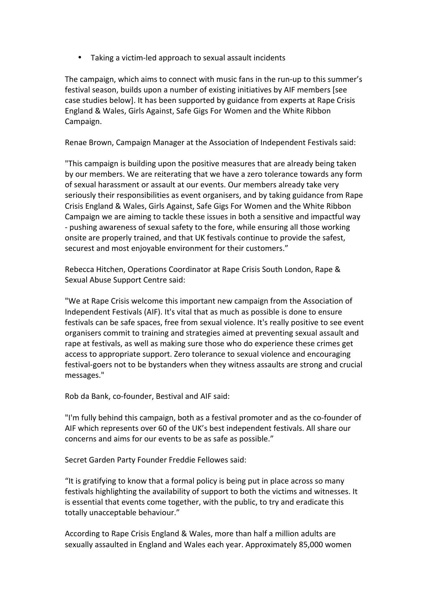• Taking a victim-led approach to sexual assault incidents

The campaign, which aims to connect with music fans in the run-up to this summer's festival season, builds upon a number of existing initiatives by AIF members [see case studies below]. It has been supported by guidance from experts at Rape Crisis England & Wales, Girls Against, Safe Gigs For Women and the White Ribbon Campaign.

Renae Brown, Campaign Manager at the Association of Independent Festivals said:

"This campaign is building upon the positive measures that are already being taken by our members. We are reiterating that we have a zero tolerance towards any form of sexual harassment or assault at our events. Our members already take very seriously their responsibilities as event organisers, and by taking guidance from Rape Crisis England & Wales, Girls Against, Safe Gigs For Women and the White Ribbon Campaign we are aiming to tackle these issues in both a sensitive and impactful way - pushing awareness of sexual safety to the fore, while ensuring all those working onsite are properly trained, and that UK festivals continue to provide the safest, securest and most enjoyable environment for their customers."

Rebecca Hitchen, Operations Coordinator at Rape Crisis South London, Rape & Sexual Abuse Support Centre said:

"We at Rape Crisis welcome this important new campaign from the Association of Independent Festivals (AIF). It's vital that as much as possible is done to ensure festivals can be safe spaces, free from sexual violence. It's really positive to see event organisers commit to training and strategies aimed at preventing sexual assault and rape at festivals, as well as making sure those who do experience these crimes get access to appropriate support. Zero tolerance to sexual violence and encouraging festival-goers not to be bystanders when they witness assaults are strong and crucial messages."

Rob da Bank, co-founder, Bestival and AIF said:

"I'm fully behind this campaign, both as a festival promoter and as the co-founder of AIF which represents over 60 of the UK's best independent festivals. All share our concerns and aims for our events to be as safe as possible."

Secret Garden Party Founder Freddie Fellowes said:

"It is gratifying to know that a formal policy is being put in place across so many festivals highlighting the availability of support to both the victims and witnesses. It is essential that events come together, with the public, to try and eradicate this totally unacceptable behaviour."

According to Rape Crisis England & Wales, more than half a million adults are sexually assaulted in England and Wales each year. Approximately 85,000 women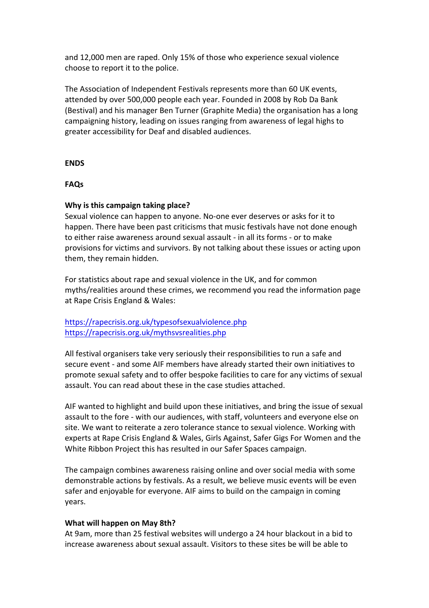and 12,000 men are raped. Only 15% of those who experience sexual violence choose to report it to the police.

The Association of Independent Festivals represents more than 60 UK events, attended by over 500,000 people each year. Founded in 2008 by Rob Da Bank (Bestival) and his manager Ben Turner (Graphite Media) the organisation has a long campaigning history, leading on issues ranging from awareness of legal highs to greater accessibility for Deaf and disabled audiences.

#### **ENDS**

#### **FAQs**

#### **Why is this campaign taking place?**

Sexual violence can happen to anyone. No-one ever deserves or asks for it to happen. There have been past criticisms that music festivals have not done enough to either raise awareness around sexual assault - in all its forms - or to make provisions for victims and survivors. By not talking about these issues or acting upon them, they remain hidden.

For statistics about rape and sexual violence in the UK, and for common myths/realities around these crimes, we recommend you read the information page at Rape Crisis England & Wales:

#### https://rapecrisis.org.uk/typesofsexualviolence.php https://rapecrisis.org.uk/mythsvsrealities.php

All festival organisers take very seriously their responsibilities to run a safe and secure event - and some AIF members have already started their own initiatives to promote sexual safety and to offer bespoke facilities to care for any victims of sexual assault. You can read about these in the case studies attached.

AIF wanted to highlight and build upon these initiatives, and bring the issue of sexual assault to the fore - with our audiences, with staff, volunteers and everyone else on site. We want to reiterate a zero tolerance stance to sexual violence. Working with experts at Rape Crisis England & Wales, Girls Against, Safer Gigs For Women and the White Ribbon Project this has resulted in our Safer Spaces campaign.

The campaign combines awareness raising online and over social media with some demonstrable actions by festivals. As a result, we believe music events will be even safer and enjoyable for everyone. AIF aims to build on the campaign in coming years.

#### **What will happen on May 8th?**

At 9am, more than 25 festival websites will undergo a 24 hour blackout in a bid to increase awareness about sexual assault. Visitors to these sites be will be able to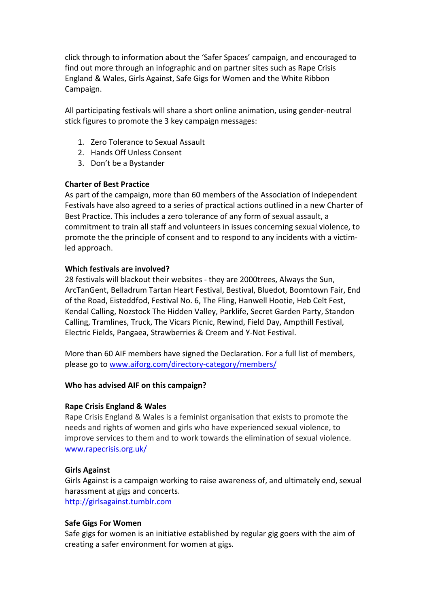click through to information about the 'Safer Spaces' campaign, and encouraged to find out more through an infographic and on partner sites such as Rape Crisis England & Wales, Girls Against, Safe Gigs for Women and the White Ribbon Campaign.

All participating festivals will share a short online animation, using gender-neutral stick figures to promote the 3 key campaign messages:

- 1. Zero Tolerance to Sexual Assault
- 2. Hands Off Unless Consent
- 3. Don't be a Bystander

#### **Charter of Best Practice**

As part of the campaign, more than 60 members of the Association of Independent Festivals have also agreed to a series of practical actions outlined in a new Charter of Best Practice. This includes a zero tolerance of any form of sexual assault, a commitment to train all staff and volunteers in issues concerning sexual violence, to promote the the principle of consent and to respond to any incidents with a victimled approach.

#### **Which festivals are involved?**

28 festivals will blackout their websites - they are 2000trees, Always the Sun, ArcTanGent, Belladrum Tartan Heart Festival, Bestival, Bluedot, Boomtown Fair, End of the Road, Eisteddfod, Festival No. 6, The Fling, Hanwell Hootie, Heb Celt Fest, Kendal Calling, Nozstock The Hidden Valley, Parklife, Secret Garden Party, Standon Calling, Tramlines, Truck, The Vicars Picnic, Rewind, Field Day, Ampthill Festival, Electric Fields, Pangaea, Strawberries & Creem and Y-Not Festival.

More than 60 AIF members have signed the Declaration. For a full list of members, please go to www.aiforg.com/directory-category/members/

#### **Who has advised AIF on this campaign?**

#### **Rape Crisis England & Wales**

Rape Crisis England & Wales is a feminist organisation that exists to promote the needs and rights of women and girls who have experienced sexual violence, to improve services to them and to work towards the elimination of sexual violence. www.rapecrisis.org.uk/

#### **Girls Against**

Girls Against is a campaign working to raise awareness of, and ultimately end, sexual harassment at gigs and concerts. http://girlsagainst.tumblr.com

#### **Safe Gigs For Women**

Safe gigs for women is an initiative established by regular gig goers with the aim of creating a safer environment for women at gigs.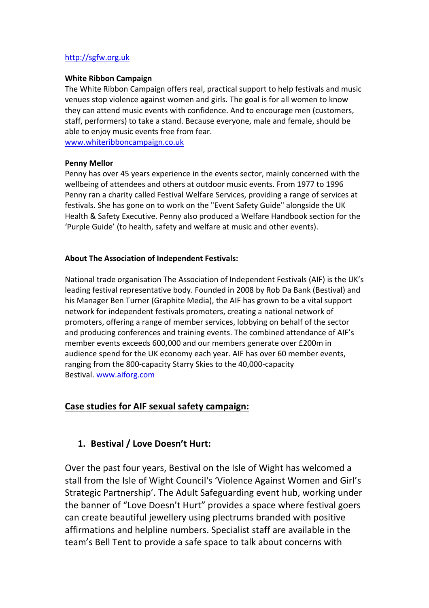#### http://sgfw.org.uk

#### **White Ribbon Campaign**

The White Ribbon Campaign offers real, practical support to help festivals and music venues stop violence against women and girls. The goal is for all women to know they can attend music events with confidence. And to encourage men (customers, staff, performers) to take a stand. Because everyone, male and female, should be able to enjoy music events free from fear. www.whiteribboncampaign.co.uk

#### **Penny Mellor**

Penny has over 45 years experience in the events sector, mainly concerned with the wellbeing of attendees and others at outdoor music events. From 1977 to 1996 Penny ran a charity called Festival Welfare Services, providing a range of services at festivals. She has gone on to work on the "Event Safety Guide" alongside the UK Health & Safety Executive. Penny also produced a Welfare Handbook section for the 'Purple Guide' (to health, safety and welfare at music and other events).

#### **About The Association of Independent Festivals:**

National trade organisation The Association of Independent Festivals (AIF) is the UK's leading festival representative body. Founded in 2008 by Rob Da Bank (Bestival) and his Manager Ben Turner (Graphite Media), the AIF has grown to be a vital support network for independent festivals promoters, creating a national network of promoters, offering a range of member services, lobbying on behalf of the sector and producing conferences and training events. The combined attendance of AIF's member events exceeds 600,000 and our members generate over £200m in audience spend for the UK economy each year. AIF has over 60 member events, ranging from the 800-capacity Starry Skies to the 40,000-capacity Bestival. www.aiforg.com

## **Case studies for AIF sexual safety campaign:**

## 1. **Bestival / Love Doesn't Hurt:**

Over the past four years, Bestival on the Isle of Wight has welcomed a stall from the Isle of Wight Council's 'Violence Against Women and Girl's Strategic Partnership'. The Adult Safeguarding event hub, working under the banner of "Love Doesn't Hurt" provides a space where festival goers can create beautiful jewellery using plectrums branded with positive affirmations and helpline numbers. Specialist staff are available in the team's Bell Tent to provide a safe space to talk about concerns with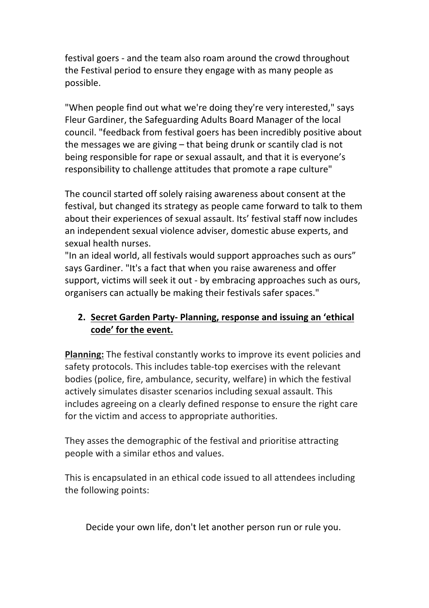festival goers - and the team also roam around the crowd throughout the Festival period to ensure they engage with as many people as possible.

"When people find out what we're doing they're very interested," says Fleur Gardiner, the Safeguarding Adults Board Manager of the local council. "feedback from festival goers has been incredibly positive about the messages we are giving – that being drunk or scantily clad is not being responsible for rape or sexual assault, and that it is everyone's responsibility to challenge attitudes that promote a rape culture"

The council started off solely raising awareness about consent at the festival, but changed its strategy as people came forward to talk to them about their experiences of sexual assault. Its' festival staff now includes an independent sexual violence adviser, domestic abuse experts, and sexual health nurses.

"In an ideal world, all festivals would support approaches such as ours" says Gardiner. "It's a fact that when you raise awareness and offer support, victims will seek it out - by embracing approaches such as ours, organisers can actually be making their festivals safer spaces."

# **2. Secret Garden Party- Planning, response and issuing an 'ethical** code' for the event.

**Planning:** The festival constantly works to improve its event policies and safety protocols. This includes table-top exercises with the relevant bodies (police, fire, ambulance, security, welfare) in which the festival actively simulates disaster scenarios including sexual assault. This includes agreeing on a clearly defined response to ensure the right care for the victim and access to appropriate authorities.

They asses the demographic of the festival and prioritise attracting people with a similar ethos and values.

This is encapsulated in an ethical code issued to all attendees including the following points: 

Decide your own life, don't let another person run or rule you.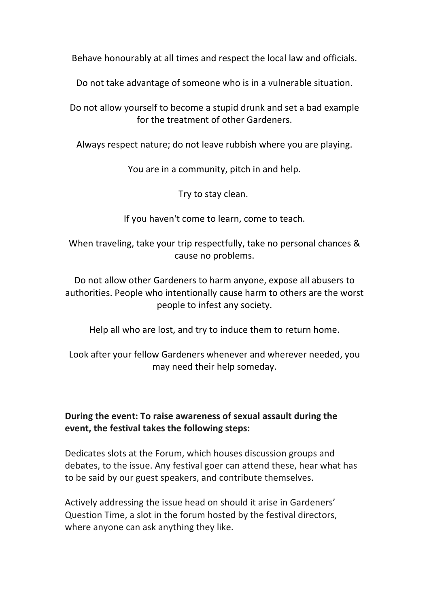Behave honourably at all times and respect the local law and officials.

Do not take advantage of someone who is in a vulnerable situation.

Do not allow yourself to become a stupid drunk and set a bad example for the treatment of other Gardeners.

Always respect nature; do not leave rubbish where you are playing.

You are in a community, pitch in and help.

Try to stay clean.

If you haven't come to learn, come to teach.

When traveling, take your trip respectfully, take no personal chances & cause no problems.

Do not allow other Gardeners to harm anyone, expose all abusers to authorities. People who intentionally cause harm to others are the worst people to infest any society.

Help all who are lost, and try to induce them to return home.

Look after your fellow Gardeners whenever and wherever needed, you may need their help someday.

## **During the event: To raise awareness of sexual assault during the event, the festival takes the following steps:**

Dedicates slots at the Forum, which houses discussion groups and debates, to the issue. Any festival goer can attend these, hear what has to be said by our guest speakers, and contribute themselves.

Actively addressing the issue head on should it arise in Gardeners' Question Time, a slot in the forum hosted by the festival directors, where anyone can ask anything they like.